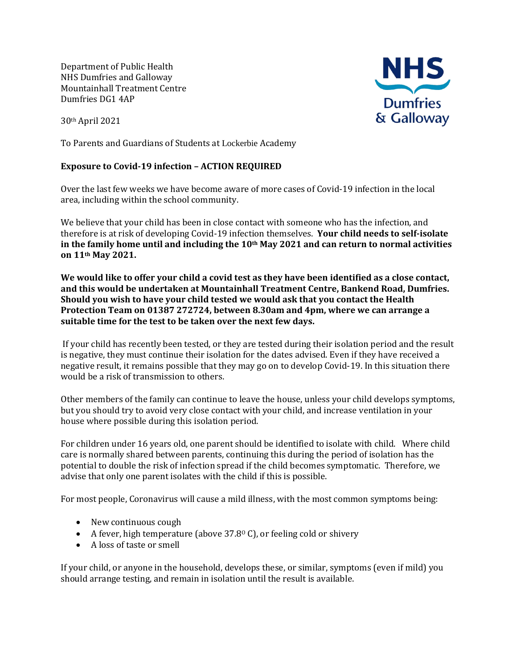Department of Public Health NHS Dumfries and Galloway Mountainhall Treatment Centre Dumfries DG1 4AP

30th April 2021

To Parents and Guardians of Students at Lockerbie Academy

## **Exposure to Covid-19 infection – ACTION REQUIRED**

Over the last few weeks we have become aware of more cases of Covid-19 infection in the local area, including within the school community.

We believe that your child has been in close contact with someone who has the infection, and therefore is at risk of developing Covid-19 infection themselves. **Your child needs to self-isolate in the family home until and including the 10th May 2021 and can return to normal activities on 11th May 2021.**

**We would like to offer your child a covid test as they have been identified as a close contact, and this would be undertaken at Mountainhall Treatment Centre, Bankend Road, Dumfries. Should you wish to have your child tested we would ask that you contact the Health Protection Team on 01387 272724, between 8.30am and 4pm, where we can arrange a suitable time for the test to be taken over the next few days.** 

If your child has recently been tested, or they are tested during their isolation period and the result is negative, they must continue their isolation for the dates advised. Even if they have received a negative result, it remains possible that they may go on to develop Covid-19. In this situation there would be a risk of transmission to others.

Other members of the family can continue to leave the house, unless your child develops symptoms, but you should try to avoid very close contact with your child, and increase ventilation in your house where possible during this isolation period.

For children under 16 years old, one parent should be identified to isolate with child. Where child care is normally shared between parents, continuing this during the period of isolation has the potential to double the risk of infection spread if the child becomes symptomatic. Therefore, we advise that only one parent isolates with the child if this is possible.

For most people, Coronavirus will cause a mild illness, with the most common symptoms being:

- New continuous cough
- A fever, high temperature (above  $37.8^{\circ}$  C), or feeling cold or shivery
- A loss of taste or smell

If your child, or anyone in the household, develops these, or similar, symptoms (even if mild) you should arrange testing, and remain in isolation until the result is available.